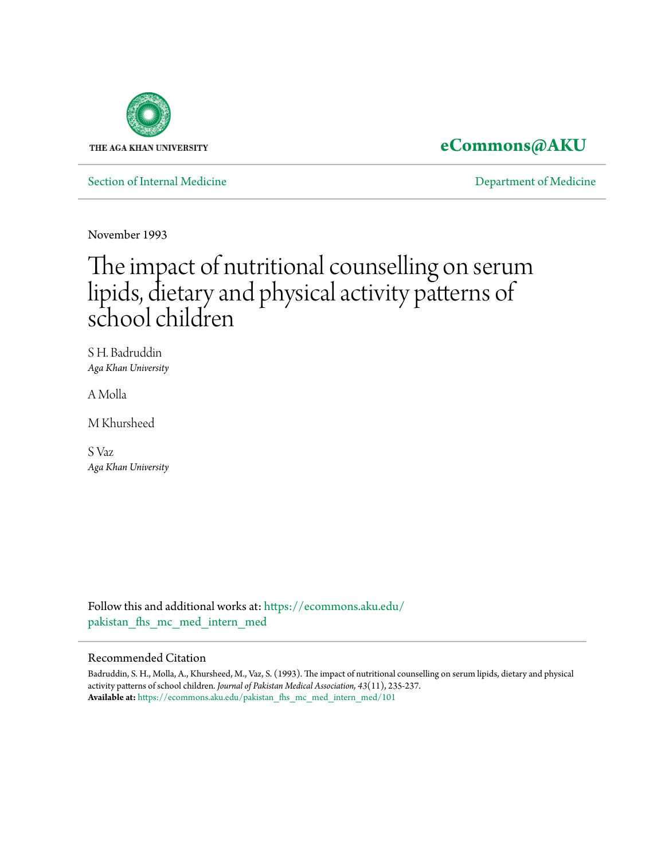

## **[eCommons@AKU](https://ecommons.aku.edu?utm_source=ecommons.aku.edu%2Fpakistan_fhs_mc_med_intern_med%2F101&utm_medium=PDF&utm_campaign=PDFCoverPages)**

[Section of Internal Medicine](https://ecommons.aku.edu/pakistan_fhs_mc_med_intern_med?utm_source=ecommons.aku.edu%2Fpakistan_fhs_mc_med_intern_med%2F101&utm_medium=PDF&utm_campaign=PDFCoverPages) **[Department of Medicine](https://ecommons.aku.edu/pakistan_fhs_mc_med?utm_source=ecommons.aku.edu%2Fpakistan_fhs_mc_med_intern_med%2F101&utm_medium=PDF&utm_campaign=PDFCoverPages)** 

November 1993

# The impact of nutritional counselling on serum lipids, dietary and physical activity patterns of school children

S H. Badruddin *Aga Khan University*

A Molla

M Khursheed

S Vaz *Aga Khan University*

Follow this and additional works at: [https://ecommons.aku.edu/](https://ecommons.aku.edu/pakistan_fhs_mc_med_intern_med?utm_source=ecommons.aku.edu%2Fpakistan_fhs_mc_med_intern_med%2F101&utm_medium=PDF&utm_campaign=PDFCoverPages) pakistan fhs mc med intern med

#### Recommended Citation

Badruddin, S. H., Molla, A., Khursheed, M., Vaz, S. (1993). The impact of nutritional counselling on serum lipids, dietary and physical activity patterns of school children. *Journal of Pakistan Medical Association, 43*(11), 235-237. **Available at:** [https://ecommons.aku.edu/pakistan\\_fhs\\_mc\\_med\\_intern\\_med/101](https://ecommons.aku.edu/pakistan_fhs_mc_med_intern_med/101)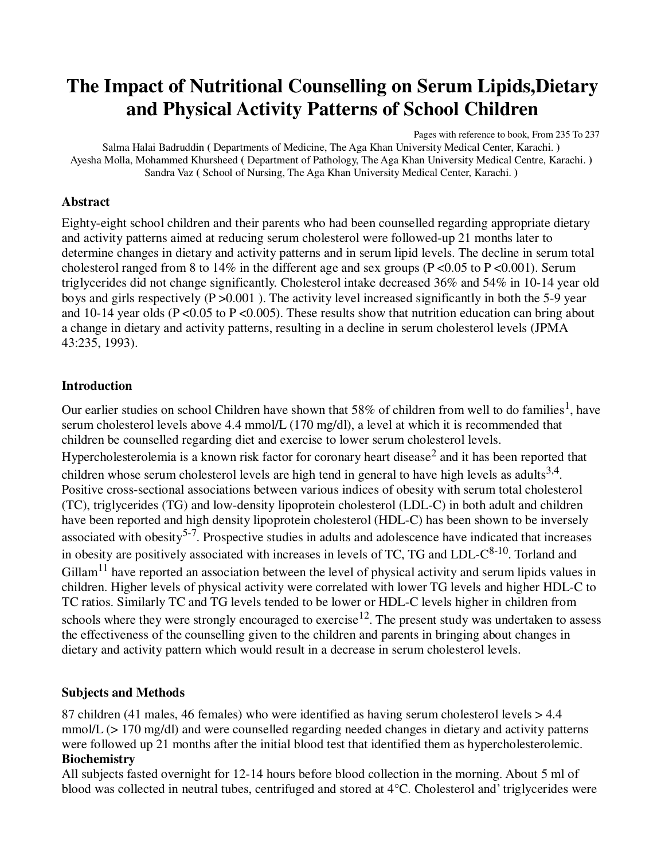# **The Impact of Nutritional Counselling on Serum Lipids,Dietary and Physical Activity Patterns of School Children**

Pages with reference to book, From 235 To 237

Salma Halai Badruddin **(** Departments of Medicine, The Aga Khan University Medical Center, Karachi. **)**  Ayesha Molla, Mohammed Khursheed **(** Department of Pathology, The Aga Khan University Medical Centre, Karachi. **)**  Sandra Vaz **(** School of Nursing, The Aga Khan University Medical Center, Karachi. **)** 

#### **Abstract**

Eighty-eight school children and their parents who had been counselled regarding appropriate dietary and activity patterns aimed at reducing serum cholesterol were followed-up 21 months later to determine changes in dietary and activity patterns and in serum lipid levels. The decline in serum total cholesterol ranged from 8 to 14% in the different age and sex groups ( $P \le 0.05$  to  $P \le 0.001$ ). Serum triglycerides did not change significantly. Cholesterol intake decreased 36% and 54% in 10-14 year old boys and girls respectively (P >0.001 ). The activity level increased significantly in both the 5-9 year and 10-14 year olds ( $P \le 0.05$  to  $P \le 0.005$ ). These results show that nutrition education can bring about a change in dietary and activity patterns, resulting in a decline in serum cholesterol levels (JPMA 43:235, 1993).

#### **Introduction**

Our earlier studies on school Children have shown that 58% of children from well to do families<sup>1</sup>, have serum cholesterol levels above 4.4 mmol/L (170 mg/dl), a level at which it is recommended that children be counselled regarding diet and exercise to lower serum cholesterol levels. Hypercholesterolemia is a known risk factor for coronary heart disease<sup>2</sup> and it has been reported that children whose serum cholesterol levels are high tend in general to have high levels as adults<sup>3,4</sup>. Positive cross-sectional associations between various indices of obesity with serum total cholesterol (TC), triglycerides (TG) and low-density lipoprotein cholesterol (LDL-C) in both adult and children have been reported and high density lipoprotein cholesterol (HDL-C) has been shown to be inversely associated with obesity<sup>5-7</sup>. Prospective studies in adults and adolescence have indicated that increases in obesity are positively associated with increases in levels of TC, TG and  $LDL-C^{8-10}$ . Torland and  $Gillam<sup>11</sup>$  have reported an association between the level of physical activity and serum lipids values in children. Higher levels of physical activity were correlated with lower TG levels and higher HDL-C to TC ratios. Similarly TC and TG levels tended to be lower or HDL-C levels higher in children from schools where they were strongly encouraged to exercise<sup>12</sup>. The present study was undertaken to assess the effectiveness of the counselling given to the children and parents in bringing about changes in dietary and activity pattern which would result in a decrease in serum cholesterol levels.

#### **Subjects and Methods**

87 children (41 males, 46 females) who were identified as having serum cholesterol levels > 4.4 mmol/L (> 170 mg/dl) and were counselled regarding needed changes in dietary and activity patterns were followed up 21 months after the initial blood test that identified them as hypercholesterolemic. **Biochemistry**

All subjects fasted overnight for 12-14 hours before blood collection in the morning. About 5 ml of blood was collected in neutral tubes, centrifuged and stored at 4°C. Cholesterol and' triglycerides were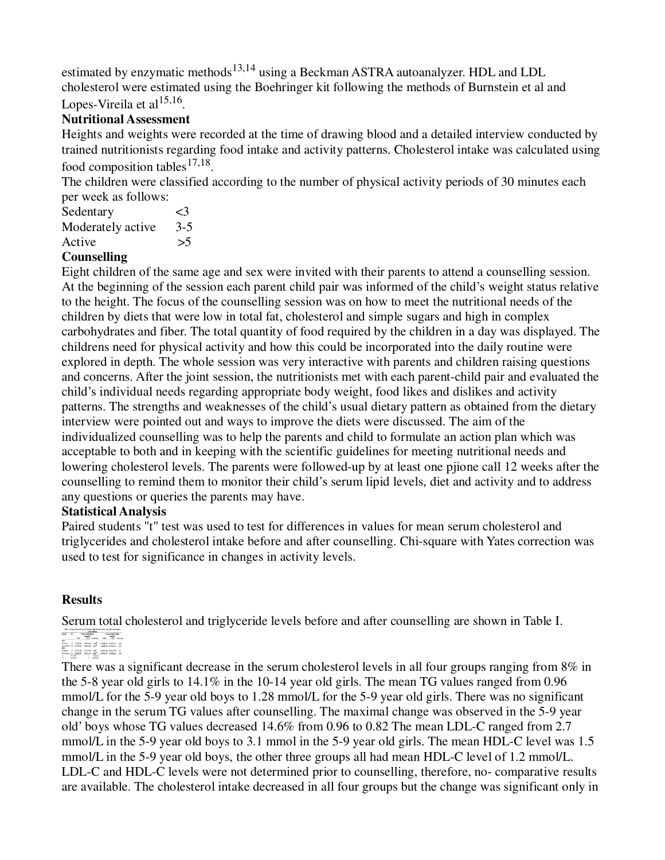estimated by enzymatic methods<sup>13,14</sup> using a Beckman ASTRA autoanalyzer. HDL and LDL cholesterol were estimated using the Boehringer kit following the methods of Burnstein et al and Lopes-Vireila et al<sup>15,16</sup>.

### **Nutritional Assessment**

Heights and weights were recorded at the time of drawing blood and a detailed interview conducted by trained nutritionists regarding food intake and activity patterns. Cholesterol intake was calculated using food composition tables  $17,18$ .

The children were classified according to the number of physical activity periods of 30 minutes each per week as follows:

| Sedentary         | ≤3    |
|-------------------|-------|
| Moderately active | $3-5$ |
| Active            | >5    |

#### **Counselling**

Eight children of the same age and sex were invited with their parents to attend a counselling session. At the beginning of the session each parent child pair was informed of the child's weight status relative to the height. The focus of the counselling session was on how to meet the nutritional needs of the children by diets that were low in total fat, cholesterol and simple sugars and high in complex carbohydrates and fiber. The total quantity of food required by the children in a day was displayed. The childrens need for physical activity and how this could be incorporated into the daily routine were explored in depth. The whole session was very interactive with parents and children raising questions and concerns. After the joint session, the nutritionists met with each parent-child pair and evaluated the child's individual needs regarding appropriate body weight, food likes and dislikes and activity patterns. The strengths and weaknesses of the child's usual dietary pattern as obtained from the dietary interview were pointed out and ways to improve the diets were discussed. The aim of the individualized counselling was to help the parents and child to formulate an action plan which was acceptable to both and in keeping with the scientific guidelines for meeting nutritional needs and lowering cholesterol levels. The parents were followed-up by at least one pjione call 12 weeks after the counselling to remind them to monitor their child's serum lipid levels, diet and activity and to address any questions or queries the parents may have.

#### **Statistical Analysis**

Paired students "t" test was used to test for differences in values for mean serum cholesterol and triglycerides and cholesterol intake before and after counselling. Chi-square with Yates correction was used to test for significance in changes in activity levels.

#### **Results**

Serum total cholesterol and triglyceride levels before and after counselling are shown in Table I.

There was a significant decrease in the serum cholesterol levels in all four groups ranging from 8% in the 5-8 year old girls to 14.1% in the 10-14 year old girls. The mean TG values ranged from 0.96 mmol/L for the 5-9 year old boys to 1.28 mmol/L for the 5-9 year old girls. There was no significant change in the serum TG values after counselling. The maximal change was observed in the 5-9 year old' boys whose TG values decreased 14.6% from 0.96 to 0.82 The mean LDL-C ranged from 2.7 mmol/L in the 5-9 year old boys to 3.1 mmol in the 5-9 year old girls. The mean HDL-C level was 1.5 mmol/L in the 5-9 year old boys, the other three groups all had mean HDL-C level of 1.2 mmol/L. LDL-C and HDL-C levels were not determined prior to counselling, therefore, no- comparative results are available. The cholesterol intake decreased in all four groups but the change was significant only in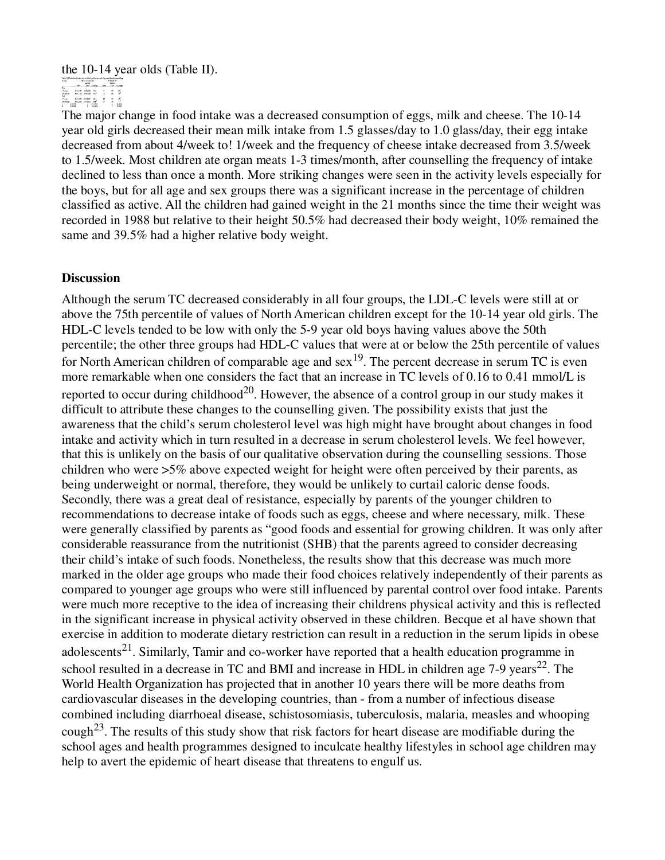# the 10-14 year olds (Table II).<br>  $\frac{1}{\sqrt{5}} = \frac{1}{\sqrt{5}} = \frac{1}{1.5}$

The major change in food intake was a decreased consumption of eggs, milk and cheese. The 10-14 year old girls decreased their mean milk intake from 1.5 glasses/day to 1.0 glass/day, their egg intake decreased from about 4/week to! 1/week and the frequency of cheese intake decreased from 3.5/week to 1.5/week. Most children ate organ meats 1-3 times/month, after counselling the frequency of intake declined to less than once a month. More striking changes were seen in the activity levels especially for the boys, but for all age and sex groups there was a significant increase in the percentage of children classified as active. All the children had gained weight in the 21 months since the time their weight was recorded in 1988 but relative to their height 50.5% had decreased their body weight, 10% remained the same and 39.5% had a higher relative body weight.

#### **Discussion**

Although the serum TC decreased considerably in all four groups, the LDL-C levels were still at or above the 75th percentile of values of North American children except for the 10-14 year old girls. The HDL-C levels tended to be low with only the 5-9 year old boys having values above the 50th percentile; the other three groups had HDL-C values that were at or below the 25th percentile of values for North American children of comparable age and  $sex^{19}$ . The percent decrease in serum TC is even more remarkable when one considers the fact that an increase in TC levels of 0.16 to 0.41 mmol/L is reported to occur during childhood<sup>20</sup>. However, the absence of a control group in our study makes it difficult to attribute these changes to the counselling given. The possibility exists that just the awareness that the child's serum cholesterol level was high might have brought about changes in food intake and activity which in turn resulted in a decrease in serum cholesterol levels. We feel however, that this is unlikely on the basis of our qualitative observation during the counselling sessions. Those children who were >5% above expected weight for height were often perceived by their parents, as being underweight or normal, therefore, they would be unlikely to curtail caloric dense foods. Secondly, there was a great deal of resistance, especially by parents of the younger children to recommendations to decrease intake of foods such as eggs, cheese and where necessary, milk. These were generally classified by parents as "good foods and essential for growing children. It was only after considerable reassurance from the nutritionist (SHB) that the parents agreed to consider decreasing their child's intake of such foods. Nonetheless, the results show that this decrease was much more marked in the older age groups who made their food choices relatively independently of their parents as compared to younger age groups who were still influenced by parental control over food intake. Parents were much more receptive to the idea of increasing their childrens physical activity and this is reflected in the significant increase in physical activity observed in these children. Becque et al have shown that exercise in addition to moderate dietary restriction can result in a reduction in the serum lipids in obese adolescents<sup>21</sup>. Similarly, Tamir and co-worker have reported that a health education programme in school resulted in a decrease in TC and BMI and increase in HDL in children age 7-9 years<sup>22</sup>. The World Health Organization has projected that in another 10 years there will be more deaths from cardiovascular diseases in the developing countries, than - from a number of infectious disease combined including diarrhoeal disease, schistosomiasis, tuberculosis, malaria, measles and whooping cough<sup>23</sup>. The results of this study show that risk factors for heart disease are modifiable during the school ages and health programmes designed to inculcate healthy lifestyles in school age children may help to avert the epidemic of heart disease that threatens to engulf us.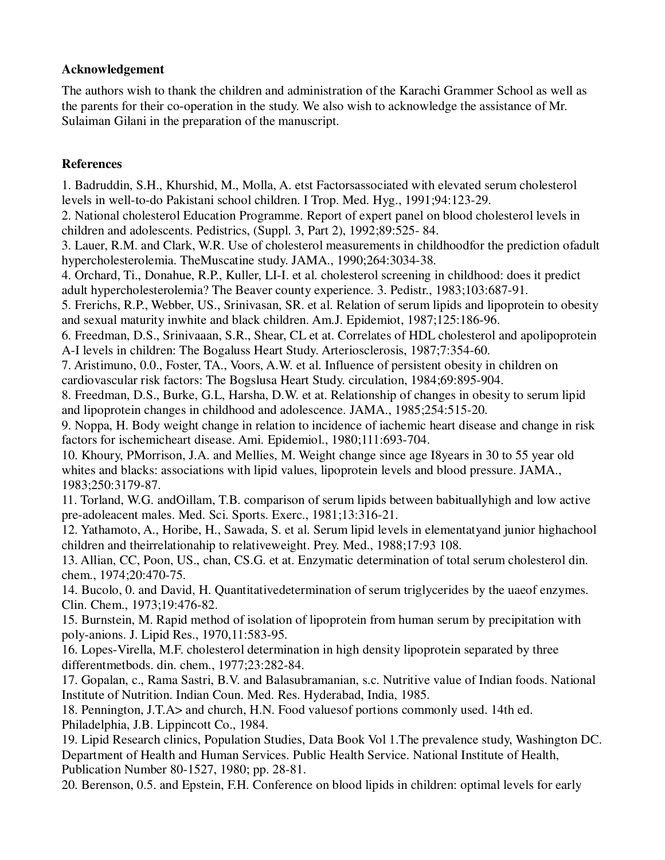#### **Acknowledgement**

The authors wish to thank the children and administration of the Karachi Grammer School as well as the parents for their co-operation in the study. We also wish to acknowledge the assistance of Mr. Sulaiman Gilani in the preparation of the manuscript.

#### **References**

1. Badruddin, S.H., Khurshid, M., Molla, A. etst Factorsassociated with elevated serum cholesterol levels in well-to-do Pakistani school children. I Trop. Med. Hyg., 1991;94:123-29.

2. National cholesterol Education Programme. Report of expert panel on blood cholesterol levels in children and adolescents. Pedistrics, (Suppl. 3, Part 2), 1992;89:525- 84.

3. Lauer, R.M. and Clark, W.R. Use of cholesterol measurements in childhoodfor the prediction ofadult hypercholesterolemia. TheMuscatine study. JAMA., 1990;264:3034-38.

4. Orchard, Ti., Donahue, R.P., Kuller, LI-I. et al. cholesterol screening in childhood: does it predict adult hypercholesterolemia? The Beaver county experience. 3. Pedistr., 1983;103:687-91.

5. Frerichs, R.P., Webber, US., Srinivasan, SR. et al. Relation of serum lipids and lipoprotein to obesity and sexual maturity inwhite and black children. Am.J. Epidemiot, 1987;125:186-96.

6. Freedman, D.S., Srinivaaan, S.R., Shear, CL et at. Correlates of HDL cholesterol and apolipoprotein A-I levels in children: The Bogaluss Heart Study. Arteriosclerosis, 1987;7:354-60.

7. Aristimuno, 0.0., Foster, TA., Voors, A.W. et al. Influence of persistent obesity in children on cardiovascular risk factors: The Bogslusa Heart Study. circulation, 1984;69:895-904.

8. Freedman, D.S., Burke, G.L, Harsha, D.W. et at. Relationship of changes in obesity to serum lipid and lipoprotein changes in childhood and adolescence. JAMA., 1985;254:515-20.

9. Noppa, H. Body weight change in relation to incidence of iachemic heart disease and change in risk factors for ischemicheart disease. Ami. Epidemiol., 1980;111:693-704.

10. Khoury, PMorrison, J.A. and Mellies, M. Weight change since age I8years in 30 to 55 year old whites and blacks: associations with lipid values, lipoprotein levels and blood pressure. JAMA., 1983;250:3179-87.

11. Torland, W.G. andOillam, T.B. comparison of serum lipids between babituallyhigh and low active pre-adoleacent males. Med. Sci. Sports. Exerc., 1981;13:316-21.

12. Yathamoto, A., Horibe, H., Sawada, S. et al. Serum lipid levels in elementatyand junior highachool children and theirrelationahip to relativeweight. Prey. Med., 1988;17:93 108.

13. Allian, CC, Poon, US., chan, CS.G. et at. Enzymatic determination of total serum cholesterol din. chem., 1974;20:470-75.

14. Bucolo, 0. and David, H. Quantitativedetermination of serum triglycerides by the uaeof enzymes. Clin. Chem., 1973;19:476-82.

15. Burnstein, M. Rapid method of isolation of lipoprotein from human serum by precipitation with poly-anions. J. Lipid Res., 1970,11:583-95.

16. Lopes-Virella, M.F. cholesterol determination in high density lipoprotein separated by three differentmetbods. din. chem., 1977;23:282-84.

17. Gopalan, c., Rama Sastri, B.V. and Balasubramanian, s.c. Nutritive value of Indian foods. National Institute of Nutrition. Indian Coun. Med. Res. Hyderabad, India, 1985.

18. Pennington, J.T.A> and church, H.N. Food valuesof portions commonly used. 14th ed. Philadelphia, J.B. Lippincott Co., 1984.

19. Lipid Research clinics, Population Studies, Data Book Vol 1.The prevalence study, Washington DC. Department of Health and Human Services. Public Health Service. National Institute of Health, Publication Number 80-1527, 1980; pp. 28-81.

20. Berenson, 0.5. and Epstein, F.H. Conference on blood lipids in children: optimal levels for early